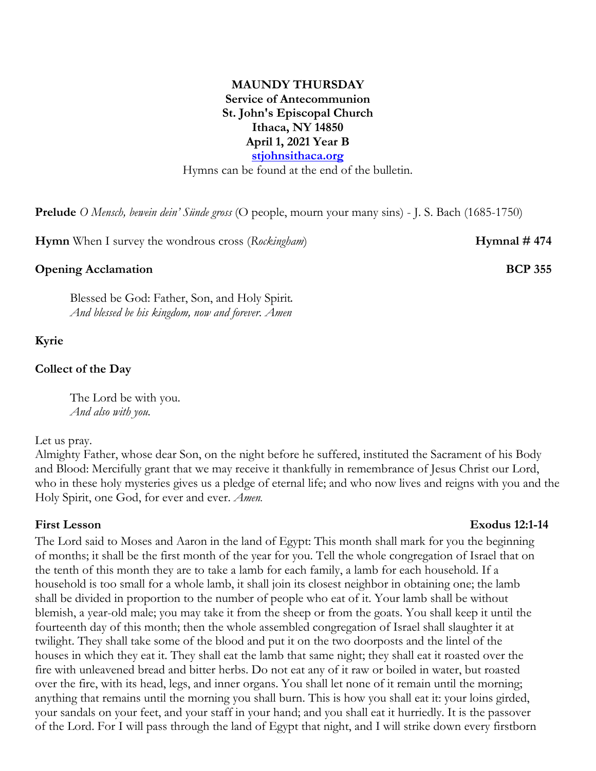## **MAUNDY THURSDAY Service of Antecommunion St. John's Episcopal Church Ithaca, NY 14850 April 1, 2021 Year B stjohnsithaca.org**

Hymns can be found at the end of the bulletin.

**Prelude** *O Mensch, bewein dein' Sünde gross* (O people, mourn your many sins) - J. S. Bach (1685-1750)

**Hymn** When I survey the wondrous cross (*Rockingham*) **Hymnal # 474** 

### **Opening Acclamation BCP 355**

Blessed be God: Father, Son, and Holy Spirit. *And blessed be his kingdom, now and forever. Amen*

### **Kyrie**

### **Collect of the Day**

The Lord be with you. *And also with you.*

Let us pray.

Almighty Father, whose dear Son, on the night before he suffered, instituted the Sacrament of his Body and Blood: Mercifully grant that we may receive it thankfully in remembrance of Jesus Christ our Lord, who in these holy mysteries gives us a pledge of eternal life; and who now lives and reigns with you and the Holy Spirit, one God, for ever and ever. *Amen.*

### **First Lesson Exodus 12:1-14**

The Lord said to Moses and Aaron in the land of Egypt: This month shall mark for you the beginning of months; it shall be the first month of the year for you. Tell the whole congregation of Israel that on the tenth of this month they are to take a lamb for each family, a lamb for each household. If a household is too small for a whole lamb, it shall join its closest neighbor in obtaining one; the lamb shall be divided in proportion to the number of people who eat of it. Your lamb shall be without blemish, a year-old male; you may take it from the sheep or from the goats. You shall keep it until the fourteenth day of this month; then the whole assembled congregation of Israel shall slaughter it at twilight. They shall take some of the blood and put it on the two doorposts and the lintel of the houses in which they eat it. They shall eat the lamb that same night; they shall eat it roasted over the fire with unleavened bread and bitter herbs. Do not eat any of it raw or boiled in water, but roasted over the fire, with its head, legs, and inner organs. You shall let none of it remain until the morning; anything that remains until the morning you shall burn. This is how you shall eat it: your loins girded, your sandals on your feet, and your staff in your hand; and you shall eat it hurriedly. It is the passover of the Lord. For I will pass through the land of Egypt that night, and I will strike down every firstborn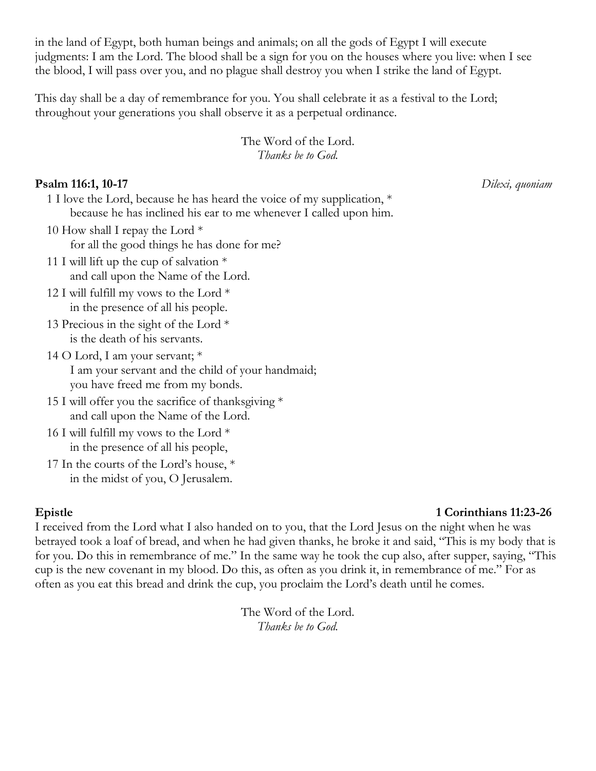in the land of Egypt, both human beings and animals; on all the gods of Egypt I will execute judgments: I am the Lord. The blood shall be a sign for you on the houses where you live: when I see the blood, I will pass over you, and no plague shall destroy you when I strike the land of Egypt.

This day shall be a day of remembrance for you. You shall celebrate it as a festival to the Lord; throughout your generations you shall observe it as a perpetual ordinance.

> The Word of the Lord. *Thanks be to God.*

## **Psalm 116:1, 10-17** *Dilexi, quoniam*

1 I love the Lord, because he has heard the voice of my supplication, \* because he has inclined his ear to me whenever I called upon him.

- 10 How shall I repay the Lord  $*$ for all the good things he has done for me?
- 11 I will lift up the cup of salvation \* and call upon the Name of the Lord.
- 12 I will fulfill my vows to the Lord  $*$ in the presence of all his people.
- 13 Precious in the sight of the Lord \* is the death of his servants.
- 14 O Lord, I am your servant; \* I am your servant and the child of your handmaid; you have freed me from my bonds.
- 15 I will offer you the sacrifice of thanksgiving \* and call upon the Name of the Lord.
- 16 I will fulfill my vows to the Lord \* in the presence of all his people,
- 17 In the courts of the Lord's house, \* in the midst of you, O Jerusalem.

# **Epistle 1 Corinthians 11:23-26**

I received from the Lord what I also handed on to you, that the Lord Jesus on the night when he was betrayed took a loaf of bread, and when he had given thanks, he broke it and said, "This is my body that is for you. Do this in remembrance of me." In the same way he took the cup also, after supper, saying, "This cup is the new covenant in my blood. Do this, as often as you drink it, in remembrance of me." For as often as you eat this bread and drink the cup, you proclaim the Lord's death until he comes.

> The Word of the Lord. *Thanks be to God.*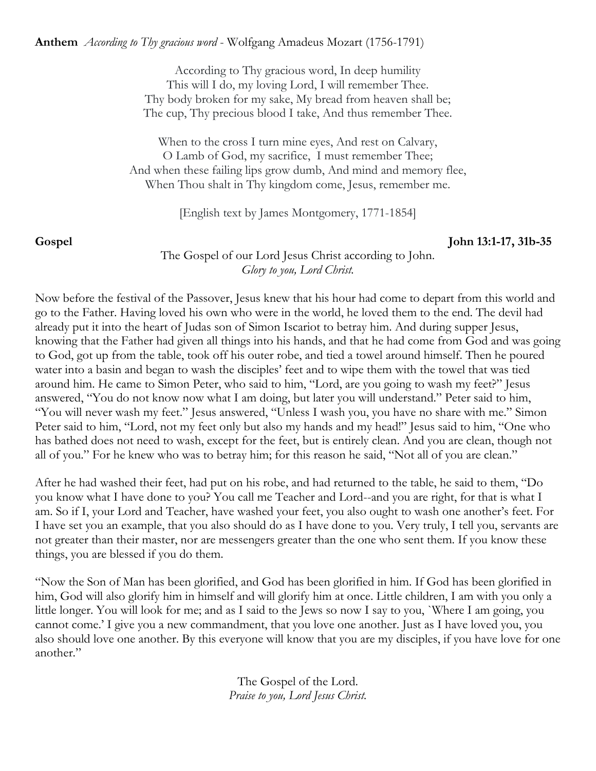**Anthem** *According to Thy gracious word* - Wolfgang Amadeus Mozart (1756-1791)

According to Thy gracious word, In deep humility This will I do, my loving Lord, I will remember Thee. Thy body broken for my sake, My bread from heaven shall be; The cup, Thy precious blood I take, And thus remember Thee.

When to the cross I turn mine eyes, And rest on Calvary, O Lamb of God, my sacrifice, I must remember Thee; And when these failing lips grow dumb, And mind and memory flee, When Thou shalt in Thy kingdom come, Jesus, remember me.

[English text by James Montgomery, 1771-1854]

**Gospel John 13:1-17, 31b-35**

The Gospel of our Lord Jesus Christ according to John. *Glory to you, Lord Christ.*

Now before the festival of the Passover, Jesus knew that his hour had come to depart from this world and go to the Father. Having loved his own who were in the world, he loved them to the end. The devil had already put it into the heart of Judas son of Simon Iscariot to betray him. And during supper Jesus, knowing that the Father had given all things into his hands, and that he had come from God and was going to God, got up from the table, took off his outer robe, and tied a towel around himself. Then he poured water into a basin and began to wash the disciples' feet and to wipe them with the towel that was tied around him. He came to Simon Peter, who said to him, "Lord, are you going to wash my feet?" Jesus answered, "You do not know now what I am doing, but later you will understand." Peter said to him, "You will never wash my feet." Jesus answered, "Unless I wash you, you have no share with me." Simon Peter said to him, "Lord, not my feet only but also my hands and my head!" Jesus said to him, "One who has bathed does not need to wash, except for the feet, but is entirely clean. And you are clean, though not all of you." For he knew who was to betray him; for this reason he said, "Not all of you are clean."

After he had washed their feet, had put on his robe, and had returned to the table, he said to them, "Do you know what I have done to you? You call me Teacher and Lord--and you are right, for that is what I am. So if I, your Lord and Teacher, have washed your feet, you also ought to wash one another's feet. For I have set you an example, that you also should do as I have done to you. Very truly, I tell you, servants are not greater than their master, nor are messengers greater than the one who sent them. If you know these things, you are blessed if you do them.

"Now the Son of Man has been glorified, and God has been glorified in him. If God has been glorified in him, God will also glorify him in himself and will glorify him at once. Little children, I am with you only a little longer. You will look for me; and as I said to the Jews so now I say to you, `Where I am going, you cannot come.' I give you a new commandment, that you love one another. Just as I have loved you, you also should love one another. By this everyone will know that you are my disciples, if you have love for one another."

> The Gospel of the Lord. *Praise to you, Lord Jesus Christ.*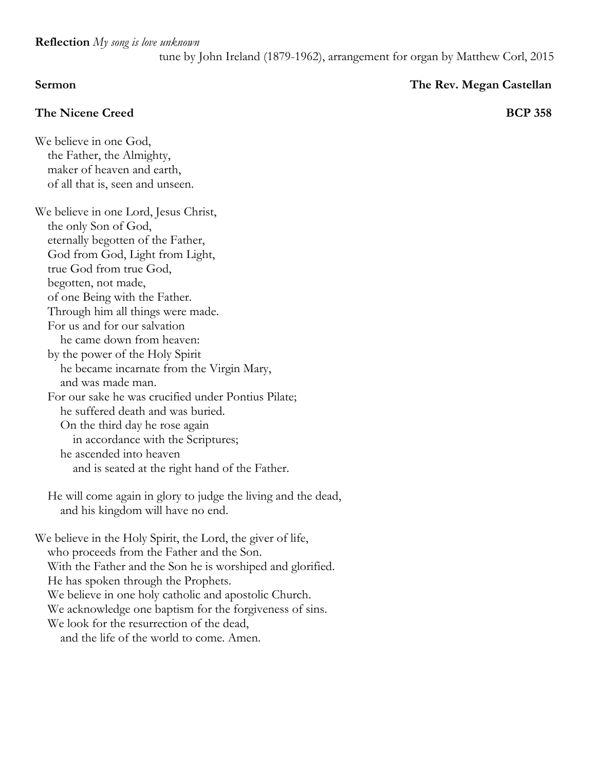tune by John Ireland (1879-1962), arrangement for organ by Matthew Corl, 2015

# **The Nicene Creed BCP 358**

**Sermon The Rev. Megan Castellan**

We believe in one God, the Father, the Almighty, maker of heaven and earth, of all that is, seen and unseen.

We believe in one Lord, Jesus Christ, the only Son of God, eternally begotten of the Father, God from God, Light from Light, true God from true God, begotten, not made, of one Being with the Father. Through him all things were made. For us and for our salvation he came down from heaven: by the power of the Holy Spirit he became incarnate from the Virgin Mary, and was made man. For our sake he was crucified under Pontius Pilate; he suffered death and was buried. On the third day he rose again in accordance with the Scriptures; he ascended into heaven and is seated at the right hand of the Father.

He will come again in glory to judge the living and the dead, and his kingdom will have no end.

We believe in the Holy Spirit, the Lord, the giver of life, who proceeds from the Father and the Son. With the Father and the Son he is worshiped and glorified. He has spoken through the Prophets. We believe in one holy catholic and apostolic Church. We acknowledge one baptism for the forgiveness of sins. We look for the resurrection of the dead, and the life of the world to come. Amen.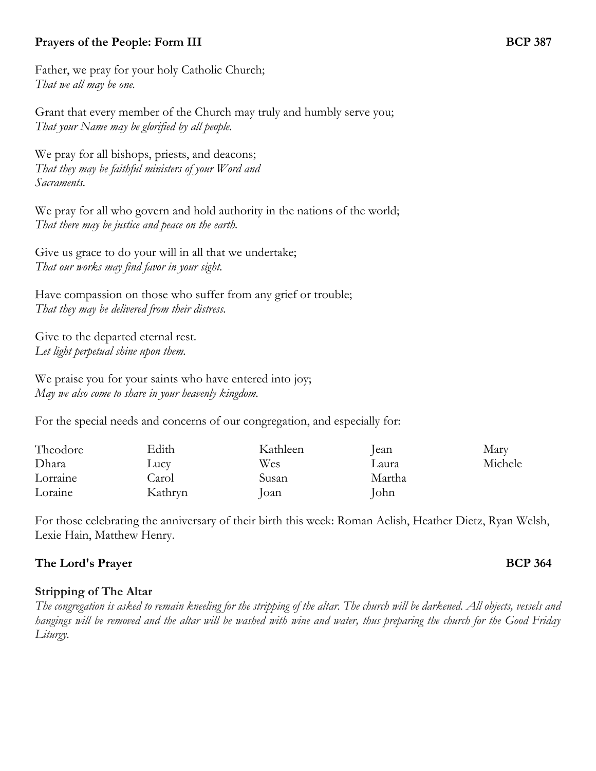## **Prayers of the People: Form III BCP 387**

Father, we pray for your holy Catholic Church; *That we all may be one.*

Grant that every member of the Church may truly and humbly serve you; *That your Name may be glorified by all people.*

We pray for all bishops, priests, and deacons; *That they may be faithful ministers of your Word and Sacraments.*

We pray for all who govern and hold authority in the nations of the world; *That there may be justice and peace on the earth.*

Give us grace to do your will in all that we undertake; *That our works may find favor in your sight.*

Have compassion on those who suffer from any grief or trouble; *That they may be delivered from their distress.*

Give to the departed eternal rest. *Let light perpetual shine upon them.*

We praise you for your saints who have entered into joy; *May we also come to share in your heavenly kingdom.*

For the special needs and concerns of our congregation, and especially for:

| Theodore | Edith   | Kathleen | Jean   | Mary    |
|----------|---------|----------|--------|---------|
| Dhara    | Lucv    | Wes      | Laura  | Michele |
| Lorraine | Carol   | Susan    | Martha |         |
| Loraine  | Kathryn | Ioan     | John   |         |

For those celebrating the anniversary of their birth this week: Roman Aelish, Heather Dietz, Ryan Welsh, Lexie Hain, Matthew Henry.

## **The Lord's Prayer BCP 364**

## **Stripping of The Altar**

*The congregation is asked to remain kneeling for the stripping of the altar. The church will be darkened. All objects, vessels and hangings will be removed and the altar will be washed with wine and water, thus preparing the church for the Good Friday Liturgy.*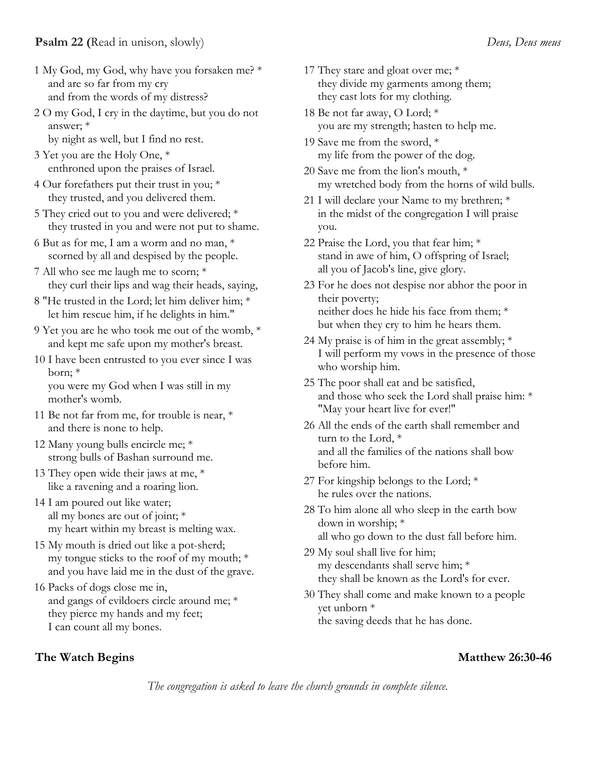### **Psalm 22 (**Read in unison, slowly) *Deus, Deus meus*

- 1 My God, my God, why have you forsaken me? \* and are so far from my cry and from the words of my distress?
- 2 O my God, I cry in the daytime, but you do not answer; \* by night as well, but I find no rest.
- 3 Yet you are the Holy One, \* enthroned upon the praises of Israel.
- 4 Our forefathers put their trust in you; \* they trusted, and you delivered them.
- 5 They cried out to you and were delivered; \* they trusted in you and were not put to shame.
- 6 But as for me, I am a worm and no man, \* scorned by all and despised by the people.
- 7 All who see me laugh me to scorn; \* they curl their lips and wag their heads, saying,
- 8 "He trusted in the Lord; let him deliver him; \* let him rescue him, if he delights in him."
- 9 Yet you are he who took me out of the womb, \* and kept me safe upon my mother's breast.
- 10 I have been entrusted to you ever since I was born; \*

you were my God when I was still in my mother's womb.

- 11 Be not far from me, for trouble is near, \* and there is none to help.
- 12 Many young bulls encircle me; \* strong bulls of Bashan surround me.
- 13 They open wide their jaws at me, \* like a ravening and a roaring lion.
- 14 I am poured out like water; all my bones are out of joint; \* my heart within my breast is melting wax.
- 15 My mouth is dried out like a pot-sherd; my tongue sticks to the roof of my mouth; \* and you have laid me in the dust of the grave.
- 16 Packs of dogs close me in, and gangs of evildoers circle around me; \* they pierce my hands and my feet; I can count all my bones.

## The Watch Begins Matthew 26:30-46

- 17 They stare and gloat over me; \* they divide my garments among them; they cast lots for my clothing.
- 18 Be not far away, O Lord; \* you are my strength; hasten to help me.
- 19 Save me from the sword, \* my life from the power of the dog.
- 20 Save me from the lion's mouth, \* my wretched body from the horns of wild bulls.
- 21 I will declare your Name to my brethren; \* in the midst of the congregation I will praise you.
- 22 Praise the Lord, you that fear him; \* stand in awe of him, O offspring of Israel; all you of Jacob's line, give glory.
- 23 For he does not despise nor abhor the poor in their poverty; neither does he hide his face from them; \* but when they cry to him he hears them.
- 24 My praise is of him in the great assembly; \* I will perform my vows in the presence of those who worship him.
- 25 The poor shall eat and be satisfied, and those who seek the Lord shall praise him: \* "May your heart live for ever!"
- 26 All the ends of the earth shall remember and turn to the Lord, \* and all the families of the nations shall bow before him.
- 27 For kingship belongs to the Lord; \* he rules over the nations.
- 28 To him alone all who sleep in the earth bow down in worship; \* all who go down to the dust fall before him.
- 29 My soul shall live for him; my descendants shall serve him; \* they shall be known as the Lord's for ever.
- 30 They shall come and make known to a people yet unborn \* the saving deeds that he has done.

*The congregation is asked to leave the church grounds in complete silence.*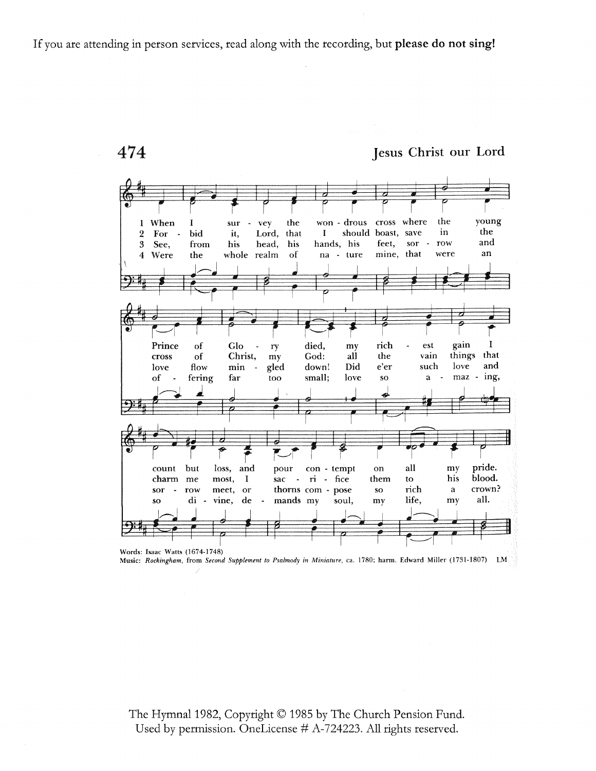If you are attending in person services, read along with the recording, but please do not sing!

474

Jesus Christ our Lord



Music: Rockingham, from Second Supplement to Psalmody in Miniature, ca. 1780; harm. Edward Miller (1731-1807) LM

The Hymnal 1982, Copyright © 1985 by The Church Pension Fund. Used by permission. OneLicense # A-724223. All rights reserved.